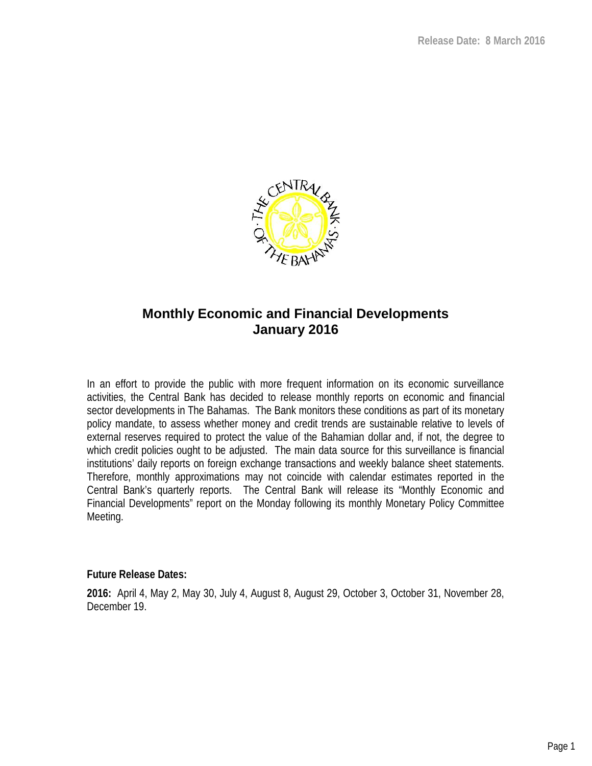

# **Monthly Economic and Financial Developments January 2016**

In an effort to provide the public with more frequent information on its economic surveillance activities, the Central Bank has decided to release monthly reports on economic and financial sector developments in The Bahamas. The Bank monitors these conditions as part of its monetary policy mandate, to assess whether money and credit trends are sustainable relative to levels of external reserves required to protect the value of the Bahamian dollar and, if not, the degree to which credit policies ought to be adjusted. The main data source for this surveillance is financial institutions' daily reports on foreign exchange transactions and weekly balance sheet statements. Therefore, monthly approximations may not coincide with calendar estimates reported in the Central Bank's quarterly reports. The Central Bank will release its "Monthly Economic and Financial Developments" report on the Monday following its monthly Monetary Policy Committee Meeting.

**Future Release Dates:**

**2016:** April 4, May 2, May 30, July 4, August 8, August 29, October 3, October 31, November 28, December 19.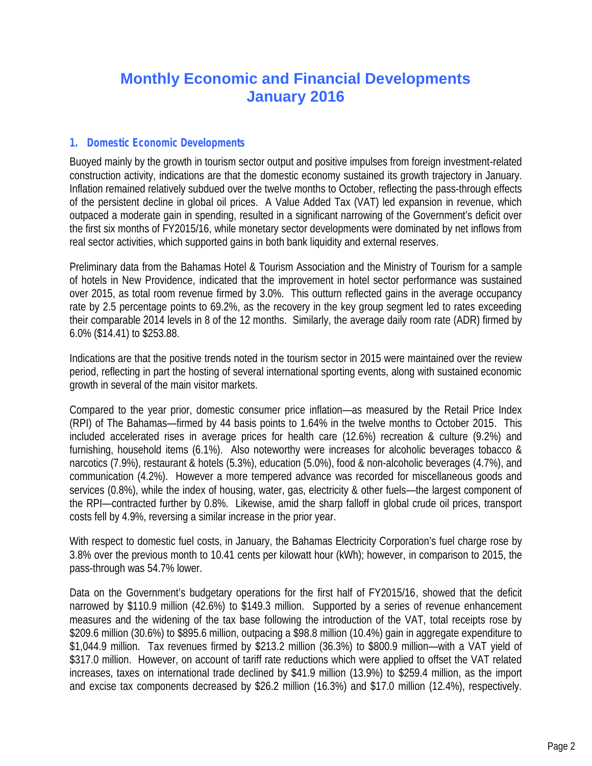# **Monthly Economic and Financial Developments January 2016**

# *1. Domestic Economic Developments*

Buoyed mainly by the growth in tourism sector output and positive impulses from foreign investment-related construction activity, indications are that the domestic economy sustained its growth trajectory in January. Inflation remained relatively subdued over the twelve months to October, reflecting the pass-through effects of the persistent decline in global oil prices. A Value Added Tax (VAT) led expansion in revenue, which outpaced a moderate gain in spending, resulted in a significant narrowing of the Government's deficit over the first six months of FY2015/16, while monetary sector developments were dominated by net inflows from real sector activities, which supported gains in both bank liquidity and external reserves.

Preliminary data from the Bahamas Hotel & Tourism Association and the Ministry of Tourism for a sample of hotels in New Providence, indicated that the improvement in hotel sector performance was sustained over 2015, as total room revenue firmed by 3.0%. This outturn reflected gains in the average occupancy rate by 2.5 percentage points to 69.2%, as the recovery in the key group segment led to rates exceeding their comparable 2014 levels in 8 of the 12 months. Similarly, the average daily room rate (ADR) firmed by 6.0% (\$14.41) to \$253.88.

Indications are that the positive trends noted in the tourism sector in 2015 were maintained over the review period, reflecting in part the hosting of several international sporting events, along with sustained economic growth in several of the main visitor markets.

Compared to the year prior, domestic consumer price inflation—as measured by the Retail Price Index (RPI) of The Bahamas—firmed by 44 basis points to 1.64% in the twelve months to October 2015. This included accelerated rises in average prices for health care (12.6%) recreation & culture (9.2%) and furnishing, household items (6.1%). Also noteworthy were increases for alcoholic beverages tobacco & narcotics (7.9%), restaurant & hotels (5.3%), education (5.0%), food & non-alcoholic beverages (4.7%), and communication (4.2%). However a more tempered advance was recorded for miscellaneous goods and services (0.8%), while the index of housing, water, gas, electricity & other fuels—the largest component of the RPI—contracted further by 0.8%. Likewise, amid the sharp falloff in global crude oil prices, transport costs fell by 4.9%, reversing a similar increase in the prior year.

With respect to domestic fuel costs, in January, the Bahamas Electricity Corporation's fuel charge rose by 3.8% over the previous month to 10.41 cents per kilowatt hour (kWh); however, in comparison to 2015, the pass-through was 54.7% lower.

Data on the Government's budgetary operations for the first half of FY2015/16, showed that the deficit narrowed by \$110.9 million (42.6%) to \$149.3 million. Supported by a series of revenue enhancement measures and the widening of the tax base following the introduction of the VAT, total receipts rose by \$209.6 million (30.6%) to \$895.6 million, outpacing a \$98.8 million (10.4%) gain in aggregate expenditure to \$1,044.9 million. Tax revenues firmed by \$213.2 million (36.3%) to \$800.9 million—with a VAT yield of \$317.0 million. However, on account of tariff rate reductions which were applied to offset the VAT related increases, taxes on international trade declined by \$41.9 million (13.9%) to \$259.4 million, as the import and excise tax components decreased by \$26.2 million (16.3%) and \$17.0 million (12.4%), respectively.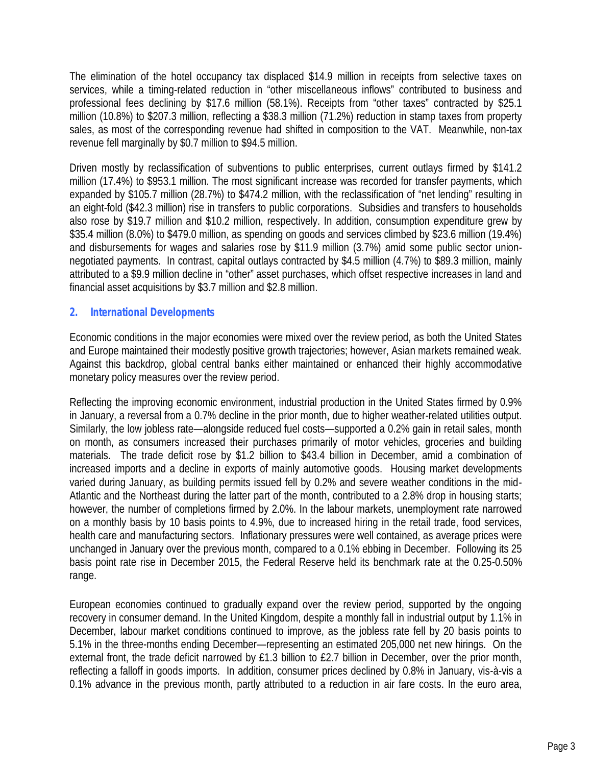The elimination of the hotel occupancy tax displaced \$14.9 million in receipts from selective taxes on services, while a timing-related reduction in "other miscellaneous inflows" contributed to business and professional fees declining by \$17.6 million (58.1%). Receipts from "other taxes" contracted by \$25.1 million (10.8%) to \$207.3 million, reflecting a \$38.3 million (71.2%) reduction in stamp taxes from property sales, as most of the corresponding revenue had shifted in composition to the VAT. Meanwhile, non-tax revenue fell marginally by \$0.7 million to \$94.5 million.

Driven mostly by reclassification of subventions to public enterprises, current outlays firmed by \$141.2 million (17.4%) to \$953.1 million. The most significant increase was recorded for transfer payments, which expanded by \$105.7 million (28.7%) to \$474.2 million, with the reclassification of "net lending" resulting in an eight-fold (\$42.3 million) rise in transfers to public corporations. Subsidies and transfers to households also rose by \$19.7 million and \$10.2 million, respectively. In addition, consumption expenditure grew by \$35.4 million (8.0%) to \$479.0 million, as spending on goods and services climbed by \$23.6 million (19.4%) and disbursements for wages and salaries rose by \$11.9 million (3.7%) amid some public sector union negotiated payments. In contrast, capital outlays contracted by \$4.5 million (4.7%) to \$89.3 million, mainly attributed to a \$9.9 million decline in "other" asset purchases, which offset respective increases in land and financial asset acquisitions by \$3.7 million and \$2.8 million.

# *2. International Developments*

Economic conditions in the major economies were mixed over the review period, as both the United States and Europe maintained their modestly positive growth trajectories; however, Asian markets remained weak. Against this backdrop, global central banks either maintained or enhanced their highly accommodative monetary policy measures over the review period.

Reflecting the improving economic environment, industrial production in the United States firmed by 0.9% in January, a reversal from a 0.7% decline in the prior month, due to higher weather-related utilities output. Similarly, the low jobless rate—alongside reduced fuel costs—supported a 0.2% gain in retail sales, month on month, as consumers increased their purchases primarily of motor vehicles, groceries and building materials. The trade deficit rose by \$1.2 billion to \$43.4 billion in December, amid a combination of increased imports and a decline in exports of mainly automotive goods. Housing market developments varied during January, as building permits issued fell by 0.2% and severe weather conditions in the mid- Atlantic and the Northeast during the latter part of the month, contributed to a 2.8% drop in housing starts; however, the number of completions firmed by 2.0%. In the labour markets, unemployment rate narrowed on a monthly basis by 10 basis points to 4.9%, due to increased hiring in the retail trade, food services, health care and manufacturing sectors. Inflationary pressures were well contained, as average prices were unchanged in January over the previous month, compared to a 0.1% ebbing in December. Following its 25 basis point rate rise in December 2015, the Federal Reserve held its benchmark rate at the 0.25-0.50% range.

European economies continued to gradually expand over the review period, supported by the ongoing recovery in consumer demand. In the United Kingdom, despite a monthly fall in industrial output by 1.1% in December, labour market conditions continued to improve, as the jobless rate fell by 20 basis points to 5.1% in the three-months ending December—representing an estimated 205,000 net new hirings. On the external front, the trade deficit narrowed by £1.3 billion to £2.7 billion in December, over the prior month, reflecting a falloff in goods imports. In addition, consumer prices declined by 0.8% in January, vis-à-vis a 0.1% advance in the previous month, partly attributed to a reduction in air fare costs. In the euro area,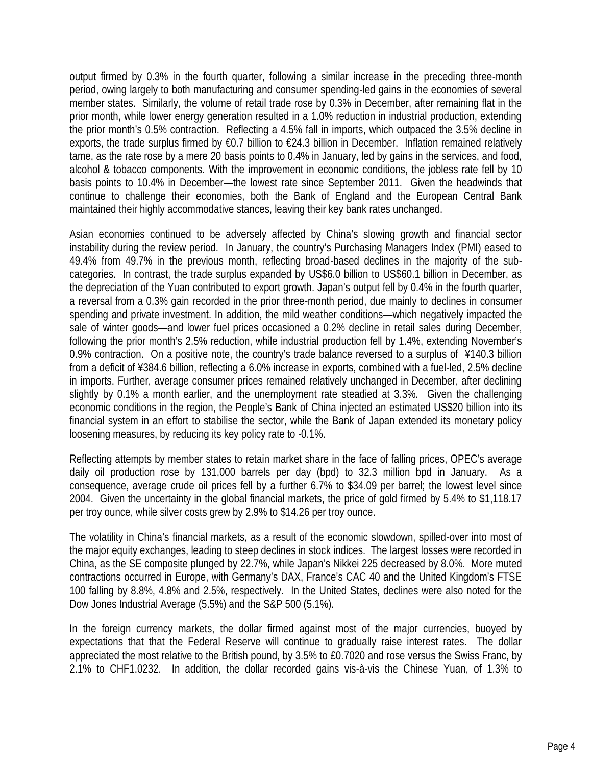output firmed by 0.3% in the fourth quarter, following a similar increase in the preceding three-month period, owing largely to both manufacturing and consumer spending-led gains in the economies of several member states. Similarly, the volume of retail trade rose by 0.3% in December, after remaining flat in the prior month, while lower energy generation resulted in a 1.0% reduction in industrial production, extending the prior month's 0.5% contraction. Reflecting a 4.5% fall in imports, which outpaced the 3.5% decline in exports, the trade surplus firmed by €0.7 billion to €24.3 billion in December. Inflation remained relatively tame, as the rate rose by a mere 20 basis points to 0.4% in January, led by gains in the services, and food, alcohol & tobacco components. With the improvement in economic conditions, the jobless rate fell by 10 basis points to 10.4% in December—the lowest rate since September 2011. Given the headwinds that continue to challenge their economies, both the Bank of England and the European Central Bank maintained their highly accommodative stances, leaving their key bank rates unchanged.

Asian economies continued to be adversely affected by China's slowing growth and financial sector instability during the review period. In January, the country's Purchasing Managers Index (PMI) eased to 49.4% from 49.7% in the previous month, reflecting broad-based declines in the majority of the sub categories. In contrast, the trade surplus expanded by US\$6.0 billion to US\$60.1 billion in December, as the depreciation of the Yuan contributed to export growth. Japan's output fell by 0.4% in the fourth quarter, a reversal from a 0.3% gain recorded in the prior three-month period, due mainly to declines in consumer spending and private investment. In addition, the mild weather conditions—which negatively impacted the sale of winter goods—and lower fuel prices occasioned a 0.2% decline in retail sales during December, following the prior month's 2.5% reduction, while industrial production fell by 1.4%, extending November's 0.9% contraction. On a positive note, the country's trade balance reversed to a surplus of ¥140.3 billion from a deficit of ¥384.6 billion, reflecting a 6.0% increase in exports, combined with a fuel-led, 2.5% decline in imports. Further, average consumer prices remained relatively unchanged in December, after declining slightly by 0.1% a month earlier, and the unemployment rate steadied at 3.3%. Given the challenging economic conditions in the region, the People's Bank of China injected an estimated US\$20 billion into its financial system in an effort to stabilise the sector, while the Bank of Japan extended its monetary policy loosening measures, by reducing its key policy rate to -0.1%.

Reflecting attempts by member states to retain market share in the face of falling prices, OPEC's average daily oil production rose by 131,000 barrels per day (bpd) to 32.3 million bpd in January. As a consequence, average crude oil prices fell by a further 6.7% to \$34.09 per barrel; the lowest level since 2004. Given the uncertainty in the global financial markets, the price of gold firmed by 5.4% to \$1,118.17 per troy ounce, while silver costs grew by 2.9% to \$14.26 per troy ounce.

The volatility in China's financial markets, as a result of the economic slowdown, spilled-over into most of the major equity exchanges, leading to steep declines in stock indices. The largest losses were recorded in China, as the SE composite plunged by 22.7%, while Japan's Nikkei 225 decreased by 8.0%. More muted contractions occurred in Europe, with Germany's DAX, France's CAC 40 and the United Kingdom's FTSE 100 falling by 8.8%, 4.8% and 2.5%, respectively. In the United States, declines were also noted for the Dow Jones Industrial Average (5.5%) and the S&P 500 (5.1%).

In the foreign currency markets, the dollar firmed against most of the major currencies, buoyed by expectations that that the Federal Reserve will continue to gradually raise interest rates. The dollar appreciated the most relative to the British pound, by 3.5% to £0.7020 and rose versus the Swiss Franc, by 2.1% to CHF1.0232. In addition, the dollar recorded gains vis-à-vis the Chinese Yuan, of 1.3% to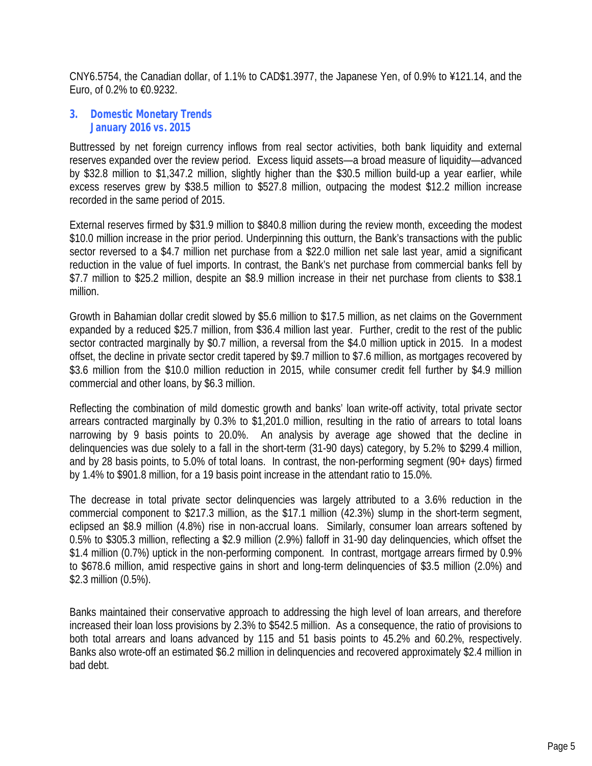CNY6.5754, the Canadian dollar, of 1.1% to CAD\$1.3977, the Japanese Yen, of 0.9% to ¥121.14, and the Euro, of 0.2% to €0.9232.

## *3. Domestic Monetary Trends January 2016 vs. 2015*

Buttressed by net foreign currency inflows from real sector activities, both bank liquidity and external reserves expanded over the review period. Excess liquid assets—a broad measure of liquidity—advanced by \$32.8 million to \$1,347.2 million, slightly higher than the \$30.5 million build-up a year earlier, while excess reserves grew by \$38.5 million to \$527.8 million, outpacing the modest \$12.2 million increase recorded in the same period of 2015.

External reserves firmed by \$31.9 million to \$840.8 million during the review month, exceeding the modest \$10.0 million increase in the prior period. Underpinning this outturn, the Bank's transactions with the public sector reversed to a \$4.7 million net purchase from a \$22.0 million net sale last year, amid a significant reduction in the value of fuel imports. In contrast, the Bank's net purchase from commercial banks fell by \$7.7 million to \$25.2 million, despite an \$8.9 million increase in their net purchase from clients to \$38.1 million.

Growth in Bahamian dollar credit slowed by \$5.6 million to \$17.5 million, as net claims on the Government expanded by a reduced \$25.7 million, from \$36.4 million last year. Further, credit to the rest of the public sector contracted marginally by \$0.7 million, a reversal from the \$4.0 million uptick in 2015. In a modest offset, the decline in private sector credit tapered by \$9.7 million to \$7.6 million, as mortgages recovered by \$3.6 million from the \$10.0 million reduction in 2015, while consumer credit fell further by \$4.9 million commercial and other loans, by \$6.3 million.

Reflecting the combination of mild domestic growth and banks' loan write-off activity, total private sector arrears contracted marginally by 0.3% to \$1,201.0 million, resulting in the ratio of arrears to total loans narrowing by 9 basis points to 20.0%. An analysis by average age showed that the decline in delinquencies was due solely to a fall in the short-term (31-90 days) category, by 5.2% to \$299.4 million, and by 28 basis points, to 5.0% of total loans. In contrast, the non-performing segment (90+ days) firmed by 1.4% to \$901.8 million, for a 19 basis point increase in the attendant ratio to 15.0%.

The decrease in total private sector delinquencies was largely attributed to a 3.6% reduction in the commercial component to \$217.3 million, as the \$17.1 million (42.3%) slump in the short-term segment, eclipsed an \$8.9 million (4.8%) rise in non-accrual loans. Similarly, consumer loan arrears softened by 0.5% to \$305.3 million, reflecting a \$2.9 million (2.9%) falloff in 31-90 day delinquencies, which offset the \$1.4 million (0.7%) uptick in the non-performing component. In contrast, mortgage arrears firmed by 0.9% to \$678.6 million, amid respective gains in short and long-term delinquencies of \$3.5 million (2.0%) and \$2.3 million (0.5%).

Banks maintained their conservative approach to addressing the high level of loan arrears, and therefore increased their loan loss provisions by 2.3% to \$542.5 million. As a consequence, the ratio of provisions to both total arrears and loans advanced by 115 and 51 basis points to 45.2% and 60.2%, respectively. Banks also wrote-off an estimated \$6.2 million in delinquencies and recovered approximately \$2.4 million in bad debt.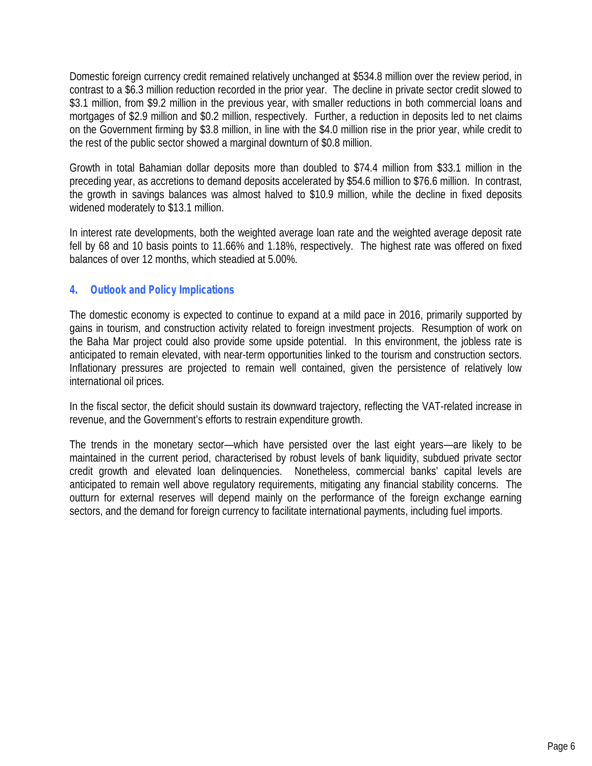Domestic foreign currency credit remained relatively unchanged at \$534.8 million over the review period, in contrast to a \$6.3 million reduction recorded in the prior year. The decline in private sector credit slowed to \$3.1 million, from \$9.2 million in the previous year, with smaller reductions in both commercial loans and mortgages of \$2.9 million and \$0.2 million, respectively. Further, a reduction in deposits led to net claims on the Government firming by \$3.8 million, in line with the \$4.0 million rise in the prior year, while credit to the rest of the public sector showed a marginal downturn of \$0.8 million.

Growth in total Bahamian dollar deposits more than doubled to \$74.4 million from \$33.1 million in the preceding year, as accretions to demand deposits accelerated by \$54.6 million to \$76.6 million. In contrast, the growth in savings balances was almost halved to \$10.9 million, while the decline in fixed deposits widened moderately to \$13.1 million.

In interest rate developments, both the weighted average loan rate and the weighted average deposit rate fell by 68 and 10 basis points to 11.66% and 1.18%, respectively. The highest rate was offered on fixed balances of over 12 months, which steadied at 5.00%.

# *4. Outlook and Policy Implications*

The domestic economy is expected to continue to expand at a mild pace in 2016, primarily supported by gains in tourism, and construction activity related to foreign investment projects. Resumption of work on the Baha Mar project could also provide some upside potential. In this environment, the jobless rate is anticipated to remain elevated, with near-term opportunities linked to the tourism and construction sectors. Inflationary pressures are projected to remain well contained, given the persistence of relatively low international oil prices.

In the fiscal sector, the deficit should sustain its downward trajectory, reflecting the VAT-related increase in revenue, and the Government's efforts to restrain expenditure growth.

The trends in the monetary sector—which have persisted over the last eight years—are likely to be maintained in the current period, characterised by robust levels of bank liquidity, subdued private sector credit growth and elevated loan delinquencies. Nonetheless, commercial banks' capital levels are anticipated to remain well above regulatory requirements, mitigating any financial stability concerns. The outturn for external reserves will depend mainly on the performance of the foreign exchange earning sectors, and the demand for foreign currency to facilitate international payments, including fuel imports.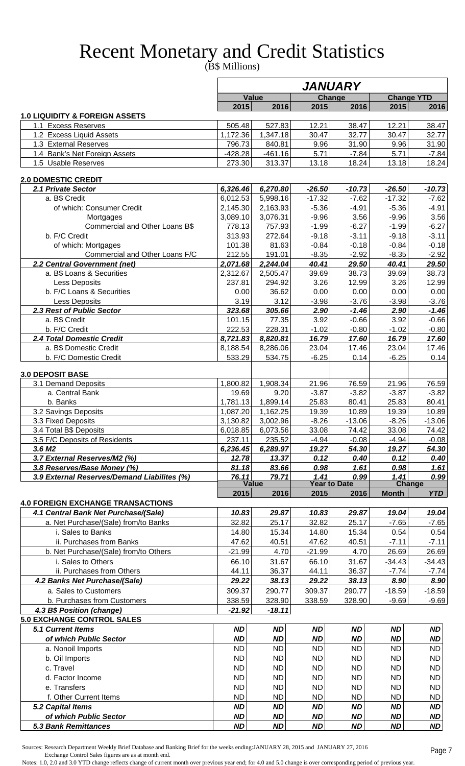# Recent Monetary and Credit Statistics

(B\$ Millions)

|                                                                |                    |                      |                    | <i><b>JANUARY</b></i>       |                    |                      |
|----------------------------------------------------------------|--------------------|----------------------|--------------------|-----------------------------|--------------------|----------------------|
|                                                                |                    | Value                |                    | Change                      |                    | <b>Change YTD</b>    |
|                                                                | 2015               | 2016                 | 2015               | 2016                        | 2015               | 2016                 |
| <b>1.0 LIQUIDITY &amp; FOREIGN ASSETS</b>                      |                    |                      |                    |                             |                    |                      |
| 1.1 Excess Reserves<br>1.2 Excess Liquid Assets                | 505.48<br>1,172.36 | 527.83<br>1,347.18   | 12.21<br>30.47     | 38.47<br>32.77              | 12.21<br>30.47     | 38.47<br>32.77       |
| 1.3 External Reserves                                          | 796.73             | 840.81               | 9.96               | 31.90                       | 9.96               | 31.90                |
| 1.4 Bank's Net Foreign Assets                                  | $-428.28$          | $-461.16$            | 5.71               | $-7.84$                     | 5.71               | $-7.84$              |
| 1.5 Usable Reserves                                            | 273.30             | 313.37               | 13.18              | 18.24                       | 13.18              | 18.24                |
| 2.0 DOMESTIC CREDIT                                            |                    |                      |                    |                             |                    |                      |
| 2.1 Private Sector                                             | 6,326.46           | 6,270.80             | $-26.50$           | $-10.73$                    | $-26.50$           | $-10.73$             |
| a. B\$ Credit                                                  | 6,012.53           | 5,998.16             | $-17.32$           | $-7.62$                     | $-17.32$           | $-7.62$              |
| of which: Consumer Credit                                      | 2,145.30           | 2,163.93             | $-5.36$            | $-4.91$                     | $-5.36$            | $-4.91$              |
| Mortgages                                                      | 3,089.10           | 3,076.31             | $-9.96$            | 3.56                        | $-9.96$            | 3.56                 |
| Commercial and Other Loans B\$                                 | 778.13             | 757.93               | $-1.99$            | $-6.27$                     | $-1.99$            | $-6.27$              |
| b. F/C Credit                                                  | 313.93             | 272.64               | $-9.18$            | $-3.11$                     | $-9.18$            | $-3.11$              |
| of which: Mortgages<br>Commercial and Other Loans F/C          | 101.38<br>212.55   | 81.63<br>191.01      | $-0.84$<br>$-8.35$ | $-0.18$<br>$-2.92$          | $-0.84$<br>$-8.35$ | $-0.18$<br>$-2.92$   |
| 2.2 Central Government (net)                                   | 2,071.68           | 2,244.04             | 40.41              | 29.50                       | 40.41              | 29.50                |
| a. B\$ Loans & Securities                                      | 2,312.67           | 2,505.47             | 39.69              | 38.73                       | 39.69              | 38.73                |
| Less Deposits                                                  | 237.81             | 294.92               | 3.26               | 12.99                       | 3.26               | 12.99                |
| b. F/C Loans & Securities                                      | 0.00               | 36.62                | 0.00               | 0.00                        | 0.00               | 0.00                 |
| Less Deposits                                                  | 3.19               | 3.12                 | $-3.98$            | $-3.76$                     | $-3.98$            | $-3.76$              |
| 2.3 Rest of Public Sector                                      | 323.68             | 305.66               | 2.90               | $-1.46$                     | 2.90               | $-1.46$              |
| a. B\$ Credit                                                  | 101.15             | 77.35                | 3.92               | $-0.66$                     | 3.92               | $-0.66$              |
| b. F/C Credit                                                  | 222.53             | 228.31               | $-1.02$            | $-0.80$                     | $-1.02$            | $-0.80$              |
| 2.4 Total Domestic Credit                                      | 8,721.83           | 8,820.81             | 16.79              | 17.60                       | 16.79              | 17.60                |
| a. B\$ Domestic Credit                                         | 8,188.54           | 8,286.06             | 23.04              | 17.46                       | 23.04              | 17.46                |
| b. F/C Domestic Credit                                         | 533.29             | 534.75               | $-6.25$            | 0.14                        | $-6.25$            | 0.14                 |
| <b>3.0 DEPOSIT BASE</b>                                        |                    |                      |                    |                             |                    |                      |
| 3.1 Demand Deposits                                            | 1,800.82           | 1,908.34             | 21.96              | 76.59                       | 21.96              | 76.59                |
| a. Central Bank                                                | 19.69              | 9.20                 | $-3.87$            | $-3.82$                     | $-3.87$            | $-3.82$              |
| b. Banks                                                       | 1,781.13           | 1,899.14             | 25.83              | 80.41                       | 25.83              | 80.41                |
| 3.2 Savings Deposits                                           | 1,087.20           | 1,162.25             | 19.39              | 10.89                       | 19.39              | 10.89                |
| 3.3 Fixed Deposits                                             | 3,130.82           | 3,002.96             | $-8.26$            | $-13.06$                    | $-8.26$            | $-13.06$             |
| 3.4 Total B\$ Deposits                                         | 6,018.85           | 6,073.56             | 33.08              | 74.42                       | 33.08              | 74.42                |
| 3.5 F/C Deposits of Residents<br>3.6 M <sub>2</sub>            | 237.11<br>6,236.45 | 235.52<br>6,289.97   | $-4.94$<br>19.27   | $-0.08$<br>54.30            | $-4.94$<br>19.27   | $-0.08$<br>54.30     |
| 3.7 External Reserves/M2 (%)                                   | 12.78              | 13.37                | 0.12               | 0.40                        | 0.12               | 0.40                 |
| 3.8 Reserves/Base Money (%)                                    | 81.18              | 83.66                | 0.98               | 1.61                        | 0.98               | 1.61                 |
| 3.9 External Reserves/Demand Liabilites (%)                    | 76.11              | 79.71                | 1.41               | 0.99                        | 1.41               | 0.99                 |
|                                                                | 2015               | <b>Value</b><br>2016 | 2015               | <b>Year to Date</b><br>2016 | <b>Month</b>       | Change<br><b>YTD</b> |
| <b>4.0 FOREIGN EXCHANGE TRANSACTIONS</b>                       |                    |                      |                    |                             |                    |                      |
| 4.1 Central Bank Net Purchase/(Sale)                           | 10.83              | 29.87                | 10.83              | 29.87                       | 19.04              | 19.04                |
| a. Net Purchase/(Sale) from/to Banks                           | 32.82              | 25.17                | 32.82              | 25.17                       | $-7.65$            | $-7.65$              |
| i. Sales to Banks                                              | 14.80              | 15.34                | 14.80              | 15.34                       | 0.54               | 0.54                 |
| ii. Purchases from Banks                                       | 47.62              | 40.51                | 47.62              | 40.51                       | $-7.11$            | $-7.11$              |
| b. Net Purchase/(Sale) from/to Others                          | $-21.99$           | 4.70                 | $-21.99$           | 4.70                        | 26.69              | 26.69                |
| i. Sales to Others                                             | 66.10              | 31.67                | 66.10              | 31.67                       | $-34.43$           | $-34.43$             |
| ii. Purchases from Others                                      | 44.11              | 36.37                | 44.11              | 36.37                       | $-7.74$            | $-7.74$              |
| 4.2 Banks Net Purchase/(Sale)                                  | 29.22              | 38.13                | 29.22              | 38.13                       | 8.90               | 8.90                 |
| a. Sales to Customers                                          | 309.37             | 290.77               | 309.37             | 290.77                      | $-18.59$           | $-18.59$             |
| b. Purchases from Customers                                    | 338.59             | 328.90               | 338.59             | 328.90                      | $-9.69$            | $-9.69$              |
| 4.3 B\$ Position (change)<br><b>5.0 EXCHANGE CONTROL SALES</b> | $-21.92$           | $-18.11$             |                    |                             |                    |                      |
| 5.1 Current Items                                              | <b>ND</b>          | <b>ND</b>            | <b>ND</b>          | <b>ND</b>                   | <b>ND</b>          | <b>ND</b>            |
| of which Public Sector                                         | <b>ND</b>          | <b>ND</b>            | <b>ND</b>          | <b>ND</b>                   | <b>ND</b>          | <b>ND</b>            |
| a. Nonoil Imports                                              | <b>ND</b>          | <b>ND</b>            | <b>ND</b>          | <b>ND</b>                   | <b>ND</b>          | <b>ND</b>            |
| b. Oil Imports                                                 | <b>ND</b>          | <b>ND</b>            | <b>ND</b>          | <b>ND</b>                   | <b>ND</b>          | <b>ND</b>            |
| c. Travel                                                      | <b>ND</b>          | <b>ND</b>            | <b>ND</b>          | <b>ND</b>                   | <b>ND</b>          | <b>ND</b>            |
| d. Factor Income                                               | <b>ND</b>          | <b>ND</b>            | <b>ND</b>          | <b>ND</b>                   | <b>ND</b>          | <b>ND</b>            |
| e. Transfers                                                   | <b>ND</b>          | <b>ND</b>            | <b>ND</b>          | <b>ND</b>                   | <b>ND</b>          | <b>ND</b>            |
| f. Other Current Items                                         | <b>ND</b>          | <b>ND</b>            | <b>ND</b>          | <b>ND</b>                   | <b>ND</b>          | <b>ND</b>            |
| 5.2 Capital Items                                              | <b>ND</b>          | <b>ND</b>            | <b>ND</b>          | <b>ND</b>                   | <b>ND</b>          | <b>ND</b>            |
| of which Public Sector                                         | <b>ND</b>          | <b>ND</b>            | <b>ND</b>          | <b>ND</b>                   | <b>ND</b>          | <b>ND</b>            |
| <b>5.3 Bank Remittances</b>                                    | <b>ND</b>          | <b>ND</b>            | <b>ND</b>          | <b>ND</b>                   | <b>ND</b>          | <b>ND</b>            |

 Sources: Research Department Weekly Brief Database and Banking Brief for the weeks ending:JANUARY 28, 2015 and JANUARY 27, 2016 Exchange Control Sales figures are as at month end.

Notes: 1.0, 2.0 and 3.0 YTD change reflects change of current month over previous year end; for 4.0 and 5.0 change is over corresponding period of previous year.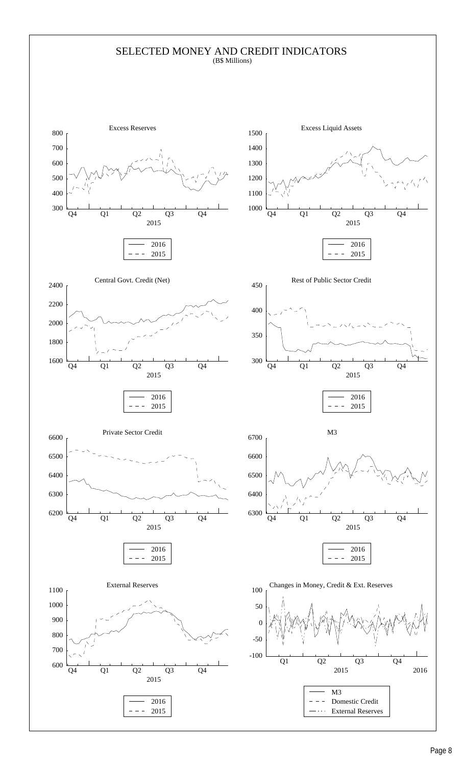### SELECTED MONEY AND CREDIT INDICATORS (B\$ Millions)

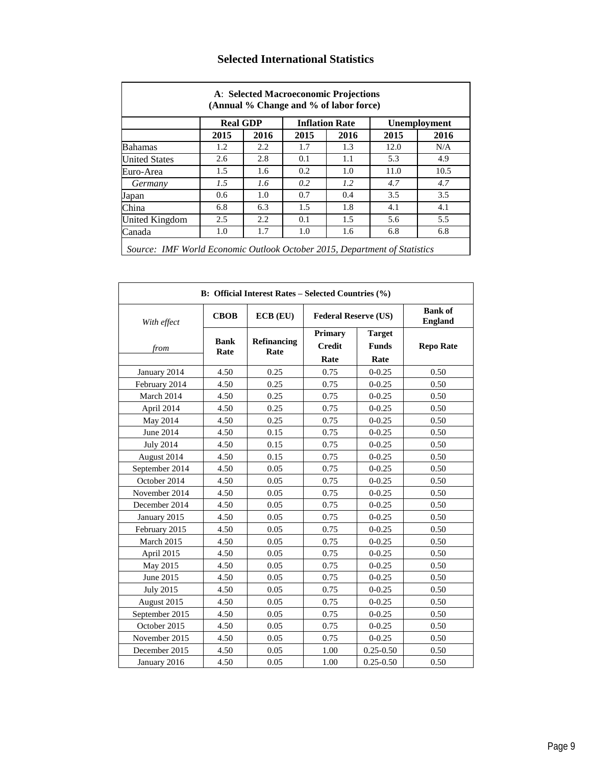|                      | <b>Real GDP</b> |      |      | <b>Inflation Rate</b> |      | <b>Unemployment</b> |
|----------------------|-----------------|------|------|-----------------------|------|---------------------|
|                      | 2015            | 2016 | 2015 | 2016                  | 2015 | 2016                |
| <b>Bahamas</b>       | 1.2             | 2.2  | 1.7  | 1.3                   | 12.0 | N/A                 |
| <b>United States</b> | 2.6             | 2.8  | 0.1  | 1.1                   | 5.3  | 4.9                 |
| Euro-Area            | 1.5             | 1.6  | 0.2  | 1.0                   | 11.0 | 10.5                |
| Germany              | 1.5             | 1.6  | 0.2  | 1.2                   | 4.7  | 4.7                 |
| Japan                | 0.6             | 1.0  | 0.7  | 0.4                   | 3.5  | 3.5                 |
| China                | 6.8             | 6.3  | 1.5  | 1.8                   | 4.1  | 4.1                 |
| United Kingdom       | 2.5             | 2.2  | 0.1  | 1.5                   | 5.6  | 5.5                 |
| Canada               | 1.0             | 1.7  | 1.0  | 1.6                   | 6.8  | 6.8                 |

# **Selected International Statistics**

|                  |                     | <b>B:</b> Official Interest Rates – Selected Countries (%) |                                         |                                       |                                  |
|------------------|---------------------|------------------------------------------------------------|-----------------------------------------|---------------------------------------|----------------------------------|
| With effect      | <b>CBOB</b>         | $ECB$ $(EU)$                                               | <b>Federal Reserve (US)</b>             |                                       | <b>Bank of</b><br><b>England</b> |
| from             | <b>Bank</b><br>Rate | Refinancing<br>Rate                                        | <b>Primary</b><br><b>Credit</b><br>Rate | <b>Target</b><br><b>Funds</b><br>Rate | <b>Repo Rate</b>                 |
| January 2014     | 4.50                | 0.25                                                       | 0.75                                    | $0 - 0.25$                            | 0.50                             |
| February 2014    | 4.50                | 0.25                                                       | 0.75                                    | $0 - 0.25$                            | 0.50                             |
| March 2014       | 4.50                | 0.25                                                       | 0.75                                    | $0 - 0.25$                            | 0.50                             |
| April 2014       | 4.50                | 0.25                                                       | 0.75                                    | $0 - 0.25$                            | 0.50                             |
| May 2014         | 4.50                | 0.25                                                       | 0.75                                    | $0 - 0.25$                            | 0.50                             |
| June 2014        | 4.50                | 0.15                                                       | 0.75                                    | $0 - 0.25$                            | 0.50                             |
| <b>July 2014</b> | 4.50                | 0.15                                                       | 0.75                                    | $0 - 0.25$                            | 0.50                             |
| August 2014      | 4.50                | 0.15                                                       | 0.75                                    | $0 - 0.25$                            | 0.50                             |
| September 2014   | 4.50                | 0.05                                                       | 0.75                                    | $0 - 0.25$                            | 0.50                             |
| October 2014     | 4.50                | 0.05                                                       | 0.75                                    | $0 - 0.25$                            | 0.50                             |
| November 2014    | 4.50                | 0.05                                                       | 0.75                                    | $0 - 0.25$                            | 0.50                             |
| December 2014    | 4.50                | 0.05                                                       | 0.75                                    | $0 - 0.25$                            | 0.50                             |
| January 2015     | 4.50                | 0.05                                                       | 0.75                                    | $0 - 0.25$                            | 0.50                             |
| February 2015    | 4.50                | 0.05                                                       | 0.75                                    | $0 - 0.25$                            | 0.50                             |
| March 2015       | 4.50                | 0.05                                                       | 0.75                                    | $0 - 0.25$                            | 0.50                             |
| April 2015       | 4.50                | 0.05                                                       | 0.75                                    | $0 - 0.25$                            | 0.50                             |
| May 2015         | 4.50                | 0.05                                                       | 0.75                                    | $0 - 0.25$                            | 0.50                             |
| June 2015        | 4.50                | 0.05                                                       | 0.75                                    | $0 - 0.25$                            | 0.50                             |
| <b>July 2015</b> | 4.50                | 0.05                                                       | 0.75                                    | $0 - 0.25$                            | 0.50                             |
| August 2015      | 4.50                | 0.05                                                       | 0.75                                    | $0 - 0.25$                            | 0.50                             |
| September 2015   | 4.50                | 0.05                                                       | 0.75                                    | $0 - 0.25$                            | 0.50                             |
| October 2015     | 4.50                | 0.05                                                       | 0.75                                    | $0 - 0.25$                            | 0.50                             |
| November 2015    | 4.50                | 0.05                                                       | 0.75                                    | $0 - 0.25$                            | 0.50                             |
| December 2015    | 4.50                | 0.05                                                       | 1.00                                    | $0.25 - 0.50$                         | 0.50                             |
| January 2016     | 4.50                | 0.05                                                       | 1.00                                    | $0.25 - 0.50$                         | 0.50                             |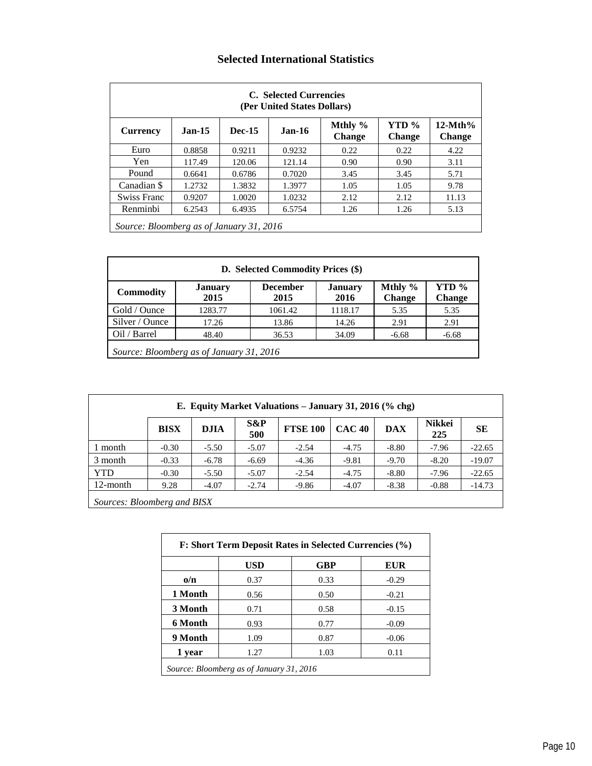# **Selected International Statistics**

|                                          |          |               | C. Selected Currencies<br>(Per United States Dollars) |                          |                        |                            |
|------------------------------------------|----------|---------------|-------------------------------------------------------|--------------------------|------------------------|----------------------------|
| <b>Currency</b>                          | $Jan-15$ | <b>Dec-15</b> | <b>Jan-16</b>                                         | Mthly %<br><b>Change</b> | YTD %<br><b>Change</b> | $12-Mth%$<br><b>Change</b> |
| Euro                                     | 0.8858   | 0.9211        | 0.9232                                                | 0.22                     | 0.22                   | 4.22                       |
| Yen.                                     | 117.49   | 120.06        | 121.14                                                | 0.90                     | 0.90                   | 3.11                       |
| Pound                                    | 0.6641   | 0.6786        | 0.7020                                                | 3.45                     | 3.45                   | 5.71                       |
| Canadian \$                              | 1.2732   | 1.3832        | 1.3977                                                | 1.05                     | 1.05                   | 9.78                       |
| Swiss Franc                              | 0.9207   | 1.0020        | 1.0232                                                | 2.12                     | 2.12                   | 11.13                      |
| Renminbi                                 | 6.2543   | 6.4935        | 6.5754                                                | 1.26                     | 1.26                   | 5.13                       |
| Source: Bloomberg as of January 31, 2016 |          |               |                                                       |                          |                        |                            |

|                  |                                          | D. Selected Commodity Prices (\$) |                 |                          |                        |
|------------------|------------------------------------------|-----------------------------------|-----------------|--------------------------|------------------------|
| <b>Commodity</b> | January<br>2015                          | <b>December</b><br>2015           | January<br>2016 | Mthly %<br><b>Change</b> | YTD %<br><b>Change</b> |
| Gold / Ounce     | 1283.77                                  | 1061.42                           | 1118.17         | 5.35                     | 5.35                   |
| Silver / Ounce   | 17.26                                    | 13.86                             | 14.26           | 2.91                     | 2.91                   |
| Oil / Barrel     | 48.40                                    | 36.53                             | 34.09           | $-6.68$                  | $-6.68$                |
|                  | Source: Bloomberg as of January 31, 2016 |                                   |                 |                          |                        |

|                         |              |             |               | E. Equity Market Valuations - January 31, 2016 (% chg) |               |            |                      |           |
|-------------------------|--------------|-------------|---------------|--------------------------------------------------------|---------------|------------|----------------------|-----------|
|                         | <b>BISX</b>  | <b>DJIA</b> | $S\&P$<br>500 | <b>FTSE 100</b>                                        | <b>CAC 40</b> | <b>DAX</b> | <b>Nikkei</b><br>225 | <b>SE</b> |
| l month                 | $-0.30$      | $-5.50$     | $-5.07$       | $-2.54$                                                | $-4.75$       | $-8.80$    | $-7.96$              | $-22.65$  |
| 3 month                 | $-0.33$      | $-6.78$     | $-6.69$       | $-4.36$                                                | $-9.81$       | $-9.70$    | $-8.20$              | $-19.07$  |
| <b>YTD</b>              | $-0.30$      | $-5.50$     | $-5.07$       | $-2.54$                                                | $-4.75$       | $-8.80$    | $-7.96$              | $-22.65$  |
| 12-month                | 9.28         | $-4.07$     | $-2.74$       | $-9.86$                                                | $-4.07$       | $-8.38$    | $-0.88$              | $-14.73$  |
| $\sim$<br>$\sim$ $\sim$ | $\mathbf{r}$ | 1.777       |               |                                                        |               |            |                      |           |

*Sources: Bloomberg and BISX*

|            | <b>USD</b> | <b>GBP</b> | EUR     |
|------------|------------|------------|---------|
| $\alpha/n$ | 0.37       | 0.33       | $-0.29$ |
| 1 Month    | 0.56       | 0.50       | $-0.21$ |
| 3 Month    | 0.71       | 0.58       | $-0.15$ |
| 6 Month    | 0.93       | 0.77       | $-0.09$ |
| 9 Month    | 1.09       | 0.87       | $-0.06$ |
| 1 year     | 1.27       | 1.03       | 0.11    |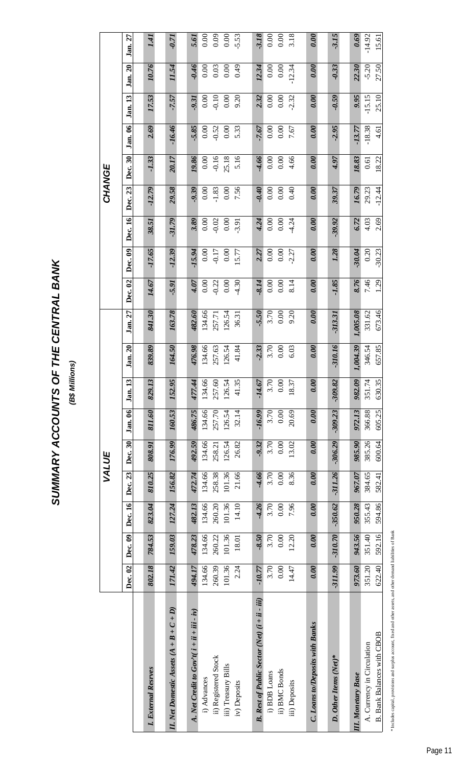# SUMMARY ACCOUNTS OF THE CENTRAL BANK **SUMMARY ACCOUNTS OF THE CENTRAL BANK**

(B\$ Millions) **(B\$ Millions)**

|                                                           |           |                               |           |                  | VALUE         |                  |           |                  |          |              |                  |              | CHANGE          |               |                 |              |                 |              |
|-----------------------------------------------------------|-----------|-------------------------------|-----------|------------------|---------------|------------------|-----------|------------------|----------|--------------|------------------|--------------|-----------------|---------------|-----------------|--------------|-----------------|--------------|
|                                                           | Dec. 02   | $\left[\text{Dec. 09}\right]$ | Dec. 16   | Dec. 23          | Dec. 30       | Jan. 06          | Jan. 13   | <b>Jan. 20</b>   | Jan. 27  | Dec. 02      | Dec. 09          | Dec. 16      | Dec. 23         | Dec. 30       | Jan. 06         | Jan. 13      | Jan. 20         | Jan. 27      |
|                                                           |           |                               |           |                  |               |                  |           |                  |          |              |                  |              |                 |               |                 |              |                 |              |
| ternal Resrves<br>$I.$ Exi                                | 802.18    | 784.53                        | 823.04    | 810.25           | 808.91        | 811.60           | 829.13    | 839.89           | 841.30   | 14.67        | $-17.65$         | 38.51        | $-12.79$        | $-1.33$       | 2.69            | 17.53        | 10.76           | 1.41         |
| II. Net Domestic Assets $(A + B + C + D)$                 | 171.42    | 159.03                        | 127.24    | 156.82           | <b>176.99</b> | 160.53           | 152.95    | 164.50           | 163.78   | 5.91         | $-12.39$         | $-31.79$     | 29.58           | 20.17         | $-16.46$        | $-7.57$      | 11.54           | $-0.71$      |
|                                                           | 494.17    | 478.23                        | 482.13    |                  | 492.59        |                  | 477.44    |                  | 482.60   |              |                  |              |                 |               |                 |              |                 |              |
| A. Net Credit to $Gov^{\prime}t(i+ii+iii-iv)$<br>Advances | 134.66    | 134.66                        | 134.66    | 472.74<br>134.66 | 134.66        | 486.75<br>134.66 | 134.66    | 476.98<br>134.66 | 134.66   | 4.07<br>0.00 | $-15.94$<br>0.00 | 3.89<br>0.00 | $-9.39$<br>0.00 | 19.86<br>0.00 | $-5.85$<br>0.00 | 0.00<br>9.31 | $-0.46$<br>0.00 | 0.00<br>5.61 |
| ) Registered Stock                                        | 260.39    | 260.22                        | 260.20    | 258.38           | 258.21        | 257.70           | 257.60    | 257.63           | 257.71   | $-0.22$      | $-0.17$          | $-0.02$      | $-1.83$         | $-0.16$       | $-0.52$         | $-0.10$      | 0.03            | 0.09         |
| ) Treasury Bills                                          | 101.36    | 101.36                        | 101.36    | 101.36           | 126.54        | 126.54           | 126.54    | 126.54           | 126.54   | 0.00         | 0.00             | 0.00         | 0.00            | 25.18         | 0.00            | 0.00         | 0.00            | 0.00         |
| iv) Deposits                                              | 2.24      | 18.01                         | 14.10     | 21.66            | 26.82         | 32.14            | 41.35     | 41.84            | 36.31    | $-4.30$      | 15.77            | $-3.91$      | 7.56            | 5.16          | 5.33            | 9.20         | 64.0            | $-5.53$      |
|                                                           |           |                               |           |                  |               |                  |           |                  |          |              |                  |              |                 |               |                 |              |                 |              |
| B. Rest of Public Sector (Net) (i + ii - iii)             | $-10.77$  | $-8.50$                       | $-4.26$   | $-4.66$          | $-9.32$       | $-16.99$         | $-14.67$  | $-2.33$          | $-5.50$  | $-8.14$      | 2.27             | 4.24         | $-0.40$         | $-4.66$       | 7.67            | 2.32         | 12.34           | 3.18         |
| <b>BDB</b> Loans                                          | 3.70      | 3.70                          | 3.70      | 3.70             | 3.70          | 3.70             | 3.70      | 3.70             | 3.70     | 0.00         | 0.00             | 0.00         | 0.00            | 0.00          | 0.00            | 0.00         | 0.00            | 0.00         |
| ii) BMC Bonds                                             | 0.00      | 0.00                          | 0.00      | 0.00             | 0.00          | 0.00             | 0.00      | 0.00             | 0.00     | 0.00         | 0.00             | 0.00         | 0.00            | 0.00          | 0.00            | 0.00         | 0.00            | 0.00         |
| Deposits<br>泪                                             | 14.47     | 12.20                         | 7.96      | 8.36             | 13.02         | 20.69            | 18.37     | 6.03             | 9.20     | 8.14         | 2.27             | $-4.24$      | 0.40            | 4.66          | 7.67            | $-2.32$      | $-12.34$        | 3.18         |
|                                                           |           |                               |           |                  |               |                  |           |                  |          |              |                  |              |                 |               |                 |              |                 |              |
| <b>C. Loans to/Deposits with Banks</b>                    | 0.00      | 0.00                          | 0.00      | 0.00             | 0.00          | 0.00             | 0.00      | 0.00             | 0.00     | 0.00         | 0.00             | 0.00         | 0.00            | 0.00          | 0.00            | 0.00         | 0.00            | 0.00         |
| Ther Items (Net)*<br>$\overline{D}$ .                     | $-311.99$ | $-310.70$                     | $-350.62$ | $-311.26$        | $-306.29$     | $-309.23$        | $-309.82$ | $-310.16$        | -313.31  | $-1.85$      | 1.28             | $-39.92$     | 39.37           | 4.97          | $-2.95$         | $-0.59$      | $-0.33$         | $-3.15$      |
|                                                           |           |                               |           |                  |               |                  |           |                  |          |              |                  |              |                 |               |                 |              |                 |              |
| <b>II.</b> Monetary Base                                  | 973.60    | 943.56                        | 950.28    | 967.07           | 985.90        | 972.13           | 982.09    | ,004.39          | 1,005.08 | 8.76         | $-30.04$         | 6.72         | 16.79           | 18.83         | $-13.77$        | 9.95         | 22.30           | 0.69         |
|                                                           | 351.20    | 351.40                        | 355.43    | 384.65           | 385.26        | 366.88           | 351.74    | 346.54           | 331.62   | 7.46         | 0.20             | 4.03         | 29.23           | 0.61          | $-18.38$        | $-15.15$     | $-5.20$         | $-14.92$     |
| A. Currency in Circulation<br>B. Bank Balances with CBOB  | 622.40    | 592.16                        | 594.86    | 582.41           | 600.64        | 605.25           | 630.35    | 657.85           | 673.46   | 1.29         | $-30.23$         | 2.69         | $-12.44$        | 18.22         | 4.61            | 25.10        | 27.50           | 15.61        |

\* Includes capital, provisions and surplus account, fixed and other assets, and other demand liabilities of Bank \* Includes capital, provisions and surplus account, fixed and other assets, and other demand liabilities of Bank